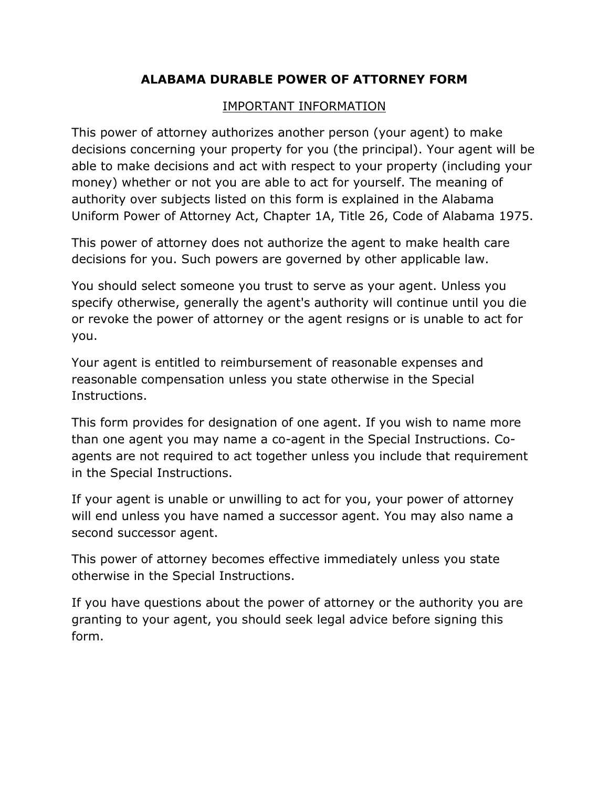#### **ALABAMA DURABLE POWER OF ATTORNEY FORM**

#### IMPORTANT INFORMATION

This power of attorney authorizes another person (your agent) to make decisions concerning your property for you (the principal). Your agent will be able to make decisions and act with respect to your property (including your money) whether or not you are able to act for yourself. The meaning of authority over subjects listed on this form is explained in the Alabama Uniform Power of Attorney Act, Chapter 1A, Title 26, Code of Alabama 1975.

This power of attorney does not authorize the agent to make health care decisions for you. Such powers are governed by other applicable law.

You should select someone you trust to serve as your agent. Unless you specify otherwise, generally the agent's authority will continue until you die or revoke the power of attorney or the agent resigns or is unable to act for you.

Your agent is entitled to reimbursement of reasonable expenses and reasonable compensation unless you state otherwise in the Special Instructions.

This form provides for designation of one agent. If you wish to name more than one agent you may name a co-agent in the Special Instructions. Coagents are not required to act together unless you include that requirement in the Special Instructions.

If your agent is unable or unwilling to act for you, your power of attorney will end unless you have named a successor agent. You may also name a second successor agent.

This power of attorney becomes effective immediately unless you state otherwise in the Special Instructions.

If you have questions about the power of attorney or the authority you are granting to your agent, you should seek legal advice before signing this form.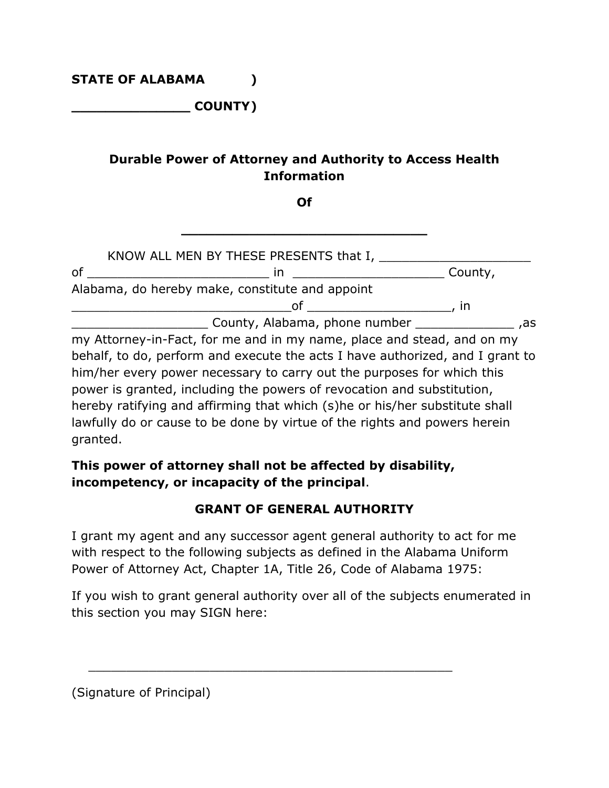**\_\_\_\_\_\_\_\_\_\_\_\_\_\_ COUNTY)**

## **Durable Power of Attorney and Authority to Access Health Information**

**Of**

**\_\_\_\_\_\_\_\_\_\_\_\_\_\_\_\_\_\_\_\_\_\_\_\_\_\_\_\_\_**

|    | KNOW ALL MEN BY THESE PRESENTS that I,          |         |    |
|----|-------------------------------------------------|---------|----|
| οf |                                                 | County, |    |
|    | Alabama, do hereby make, constitute and appoint |         |    |
|    | nt                                              | ın      |    |
|    | County, Alabama, phone number                   |         | as |

my Attorney-in-Fact, for me and in my name, place and stead, and on my behalf, to do, perform and execute the acts I have authorized, and I grant to him/her every power necessary to carry out the purposes for which this power is granted, including the powers of revocation and substitution, hereby ratifying and affirming that which (s)he or his/her substitute shall lawfully do or cause to be done by virtue of the rights and powers herein granted.

### **This power of attorney shall not be affected by disability, incompetency, or incapacity of the principal**.

 $\frac{1}{\sqrt{2}}$  ,  $\frac{1}{\sqrt{2}}$  ,  $\frac{1}{\sqrt{2}}$  ,  $\frac{1}{\sqrt{2}}$  ,  $\frac{1}{\sqrt{2}}$  ,  $\frac{1}{\sqrt{2}}$  ,  $\frac{1}{\sqrt{2}}$  ,  $\frac{1}{\sqrt{2}}$  ,  $\frac{1}{\sqrt{2}}$  ,  $\frac{1}{\sqrt{2}}$  ,  $\frac{1}{\sqrt{2}}$  ,  $\frac{1}{\sqrt{2}}$  ,  $\frac{1}{\sqrt{2}}$  ,  $\frac{1}{\sqrt{2}}$  ,  $\frac{1}{\sqrt{2}}$ 

#### **GRANT OF GENERAL AUTHORITY**

I grant my agent and any successor agent general authority to act for me with respect to the following subjects as defined in the Alabama Uniform Power of Attorney Act, Chapter 1A, Title 26, Code of Alabama 1975:

If you wish to grant general authority over all of the subjects enumerated in this section you may SIGN here:

(Signature of Principal)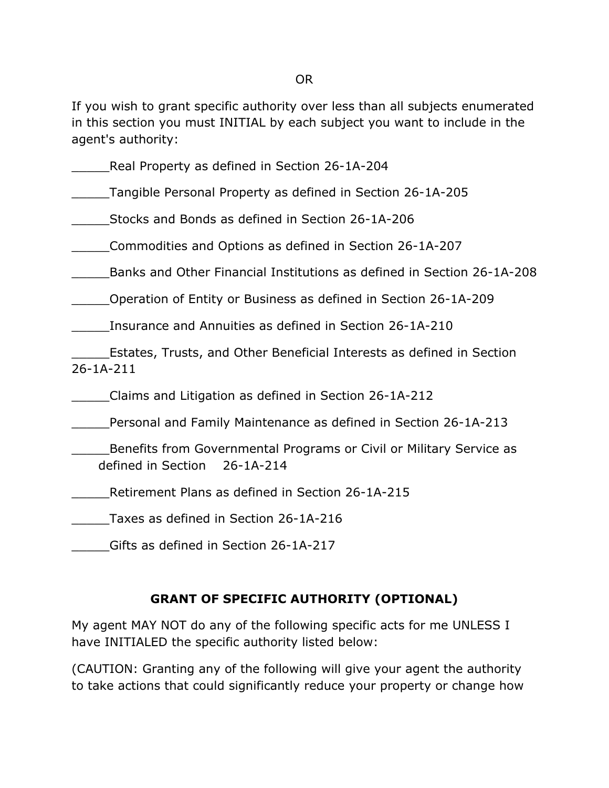OR

If you wish to grant specific authority over less than all subjects enumerated in this section you must INITIAL by each subject you want to include in the agent's authority:

Real Property as defined in Section 26-1A-204

\_\_\_\_\_Tangible Personal Property as defined in Section 26-1A-205

\_\_\_\_\_Stocks and Bonds as defined in Section 26-1A-206

\_\_\_\_\_Commodities and Options as defined in Section 26-1A-207

\_\_\_\_\_Banks and Other Financial Institutions as defined in Section 26-1A-208

\_\_\_\_\_Operation of Entity or Business as defined in Section 26-1A-209

Insurance and Annuities as defined in Section 26-1A-210

\_\_\_\_\_Estates, Trusts, and Other Beneficial Interests as defined in Section 26-1A-211

\_\_\_\_\_Claims and Litigation as defined in Section 26-1A-212

\_\_\_\_\_Personal and Family Maintenance as defined in Section 26-1A-213

\_\_\_\_\_Benefits from Governmental Programs or Civil or Military Service as defined in Section 26-1A-214

Retirement Plans as defined in Section 26-1A-215

\_\_\_\_\_Taxes as defined in Section 26-1A-216

\_\_\_\_\_Gifts as defined in Section 26-1A-217

# **GRANT OF SPECIFIC AUTHORITY (OPTIONAL)**

My agent MAY NOT do any of the following specific acts for me UNLESS I have INITIALED the specific authority listed below:

(CAUTION: Granting any of the following will give your agent the authority to take actions that could significantly reduce your property or change how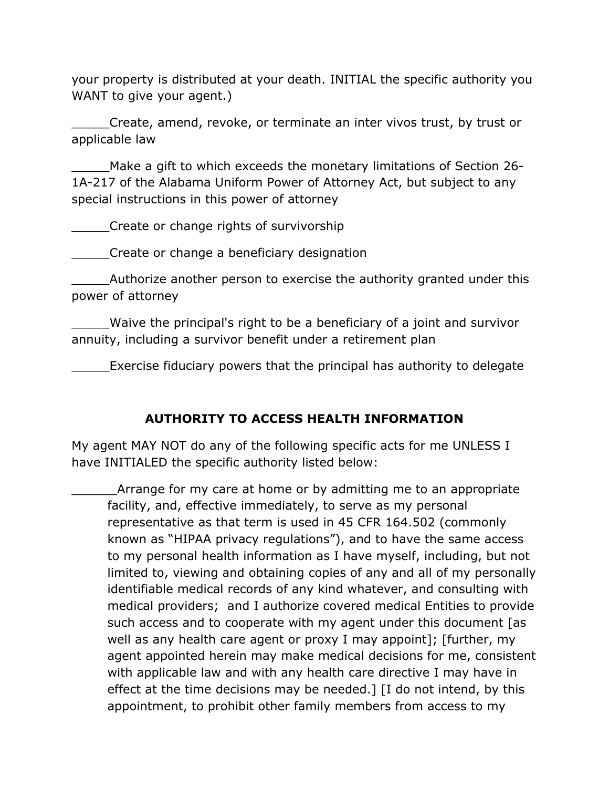your property is distributed at your death. INITIAL the specific authority you WANT to give your agent.)

\_\_\_\_\_Create, amend, revoke, or terminate an inter vivos trust, by trust or applicable law

Make a gift to which exceeds the monetary limitations of Section 26-1A-217 of the Alabama Uniform Power of Attorney Act, but subject to any special instructions in this power of attorney

\_\_\_\_\_Create or change rights of survivorship

\_\_\_\_\_Create or change a beneficiary designation

Authorize another person to exercise the authority granted under this power of attorney

\_\_\_\_\_Waive the principal's right to be a beneficiary of a joint and survivor annuity, including a survivor benefit under a retirement plan

\_\_\_\_\_Exercise fiduciary powers that the principal has authority to delegate

### **AUTHORITY TO ACCESS HEALTH INFORMATION**

My agent MAY NOT do any of the following specific acts for me UNLESS I have INITIALED the specific authority listed below:

\_\_\_\_\_\_Arrange for my care at home or by admitting me to an appropriate facility, and, effective immediately, to serve as my personal representative as that term is used in 45 CFR 164.502 (commonly known as "HIPAA privacy regulations"), and to have the same access to my personal health information as I have myself, including, but not limited to, viewing and obtaining copies of any and all of my personally identifiable medical records of any kind whatever, and consulting with medical providers; and I authorize covered medical Entities to provide such access and to cooperate with my agent under this document [as well as any health care agent or proxy I may appoint]; [further, my agent appointed herein may make medical decisions for me, consistent with applicable law and with any health care directive I may have in effect at the time decisions may be needed.] [I do not intend, by this appointment, to prohibit other family members from access to my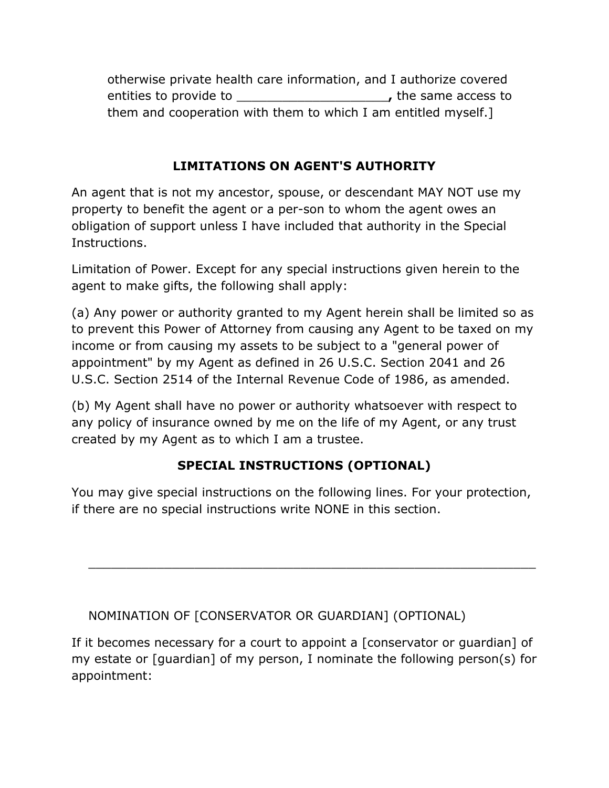otherwise private health care information, and I authorize covered entities to provide to **the same access to** the same access to them and cooperation with them to which I am entitled myself.]

## **LIMITATIONS ON AGENT'S AUTHORITY**

An agent that is not my ancestor, spouse, or descendant MAY NOT use my property to benefit the agent or a per-son to whom the agent owes an obligation of support unless I have included that authority in the Special Instructions.

Limitation of Power. Except for any special instructions given herein to the agent to make gifts, the following shall apply:

(a) Any power or authority granted to my Agent herein shall be limited so as to prevent this Power of Attorney from causing any Agent to be taxed on my income or from causing my assets to be subject to a "general power of appointment" by my Agent as defined in 26 U.S.C. Section 2041 and 26 U.S.C. Section 2514 of the Internal Revenue Code of 1986, as amended.

(b) My Agent shall have no power or authority whatsoever with respect to any policy of insurance owned by me on the life of my Agent, or any trust created by my Agent as to which I am a trustee.

# **SPECIAL INSTRUCTIONS (OPTIONAL)**

You may give special instructions on the following lines. For your protection, if there are no special instructions write NONE in this section.

 $\overline{\phantom{a}}$  ,  $\overline{\phantom{a}}$  ,  $\overline{\phantom{a}}$  ,  $\overline{\phantom{a}}$  ,  $\overline{\phantom{a}}$  ,  $\overline{\phantom{a}}$  ,  $\overline{\phantom{a}}$  ,  $\overline{\phantom{a}}$  ,  $\overline{\phantom{a}}$  ,  $\overline{\phantom{a}}$  ,  $\overline{\phantom{a}}$  ,  $\overline{\phantom{a}}$  ,  $\overline{\phantom{a}}$  ,  $\overline{\phantom{a}}$  ,  $\overline{\phantom{a}}$  ,  $\overline{\phantom{a}}$ 

### NOMINATION OF [CONSERVATOR OR GUARDIAN] (OPTIONAL)

If it becomes necessary for a court to appoint a [conservator or guardian] of my estate or [guardian] of my person, I nominate the following person(s) for appointment: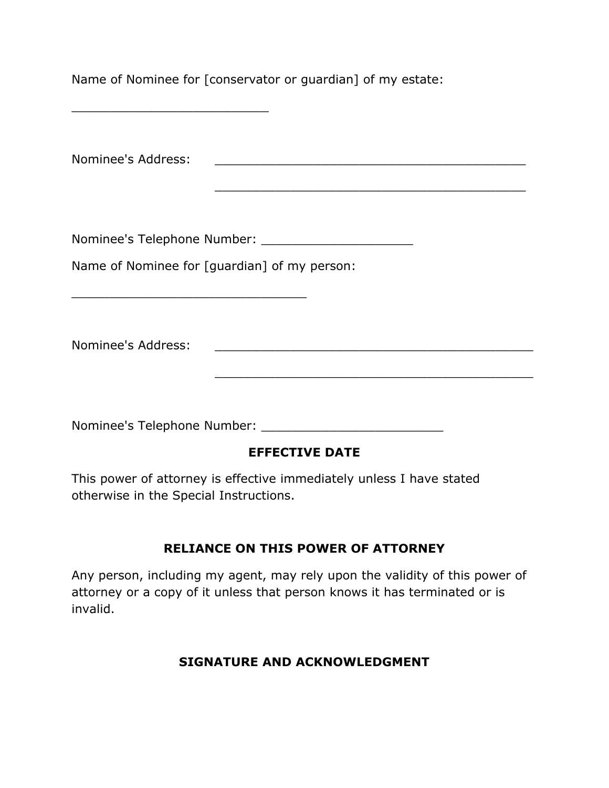Name of Nominee for [conservator or guardian] of my estate:

\_\_\_\_\_\_\_\_\_\_\_\_\_\_\_\_\_\_\_\_\_\_\_\_\_\_

Nominee's Address: \_\_\_\_\_\_\_\_\_\_\_\_\_\_\_\_\_\_\_\_\_\_\_\_\_\_\_\_\_\_\_\_\_\_\_\_\_\_\_\_\_ \_\_\_\_\_\_\_\_\_\_\_\_\_\_\_\_\_\_\_\_\_\_\_\_\_\_\_\_\_\_\_\_\_\_\_\_\_\_\_\_\_ Nominee's Telephone Number: \_\_\_\_\_\_\_\_\_\_\_\_\_\_\_\_\_\_\_\_ Name of Nominee for [guardian] of my person: \_\_\_\_\_\_\_\_\_\_\_\_\_\_\_\_\_\_\_\_\_\_\_\_\_\_\_\_\_\_\_ Nominee's Address: \_\_\_\_\_\_\_\_\_\_\_\_\_\_\_\_\_\_\_\_\_\_\_\_\_\_\_\_\_\_\_\_\_\_\_\_\_\_\_\_\_\_ \_\_\_\_\_\_\_\_\_\_\_\_\_\_\_\_\_\_\_\_\_\_\_\_\_\_\_\_\_\_\_\_\_\_\_\_\_\_\_\_\_\_ Nominee's Telephone Number: \_\_\_\_\_\_\_\_\_\_\_\_\_\_\_\_\_\_\_\_\_\_\_\_ **EFFECTIVE DATE**

This power of attorney is effective immediately unless I have stated otherwise in the Special Instructions.

### **RELIANCE ON THIS POWER OF ATTORNEY**

Any person, including my agent, may rely upon the validity of this power of attorney or a copy of it unless that person knows it has terminated or is invalid.

#### **SIGNATURE AND ACKNOWLEDGMENT**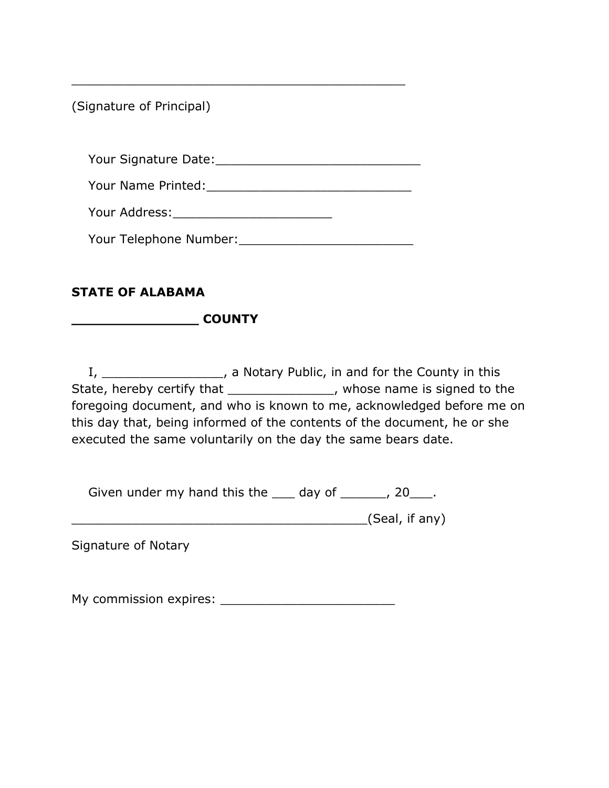(Signature of Principal)

Your Signature Date:\_\_\_\_\_\_\_\_\_\_\_\_\_\_\_\_\_\_\_\_\_\_\_\_\_\_\_

\_\_\_\_\_\_\_\_\_\_\_\_\_\_\_\_\_\_\_\_\_\_\_\_\_\_\_\_\_\_\_\_\_\_\_\_\_\_\_\_\_\_\_\_

Your Name Printed: The Contract of the Contract of the Contract of the Contract of the Contract of the Contract of the Contract of the Contract of the Contract of the Contract of the Contract of the Contract of the Contrac

Your Address:\_\_\_\_\_\_\_\_\_\_\_\_\_\_\_\_\_\_\_\_\_

Your Telephone Number:\_\_\_\_\_\_\_\_\_\_\_\_\_\_\_\_\_\_\_\_\_\_\_

## **STATE OF ALABAMA**

**\_\_\_\_\_\_\_\_\_\_\_\_\_\_\_ COUNTY**

I, \_\_\_\_\_\_\_\_\_\_\_\_\_\_\_\_\_\_\_, a Notary Public, in and for the County in this State, hereby certify that \_\_\_\_\_\_\_\_\_\_\_\_\_\_\_\_, whose name is signed to the foregoing document, and who is known to me, acknowledged before me on this day that, being informed of the contents of the document, he or she executed the same voluntarily on the day the same bears date.

Given under my hand this the  $\_\_\_$  day of  $\_\_\_\_\$ , 20 $\_\_\_\$ .

\_\_\_\_\_\_\_\_\_\_\_\_\_\_\_\_\_\_\_\_\_\_\_\_\_\_\_\_\_\_\_\_\_\_\_\_\_\_\_(Seal, if any)

Signature of Notary

My commission expires: **Example 20**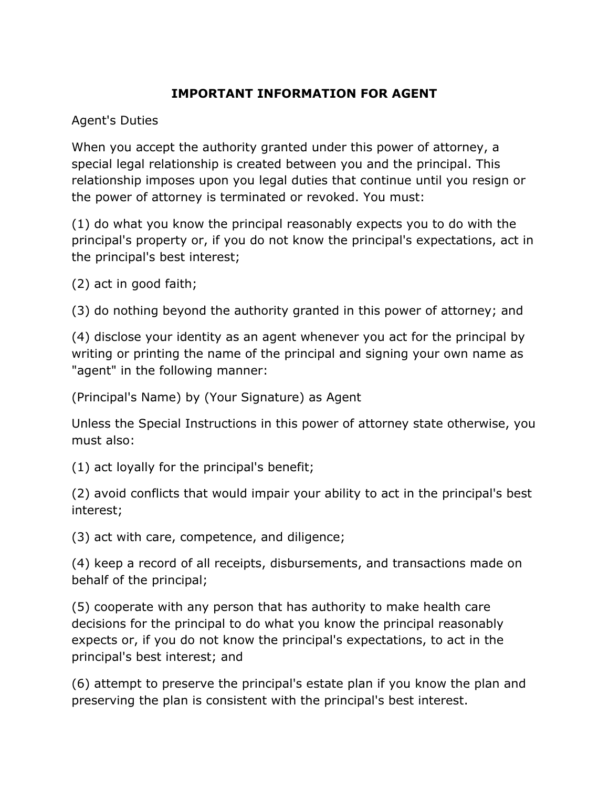## **IMPORTANT INFORMATION FOR AGENT**

Agent's Duties

When you accept the authority granted under this power of attorney, a special legal relationship is created between you and the principal. This relationship imposes upon you legal duties that continue until you resign or the power of attorney is terminated or revoked. You must:

(1) do what you know the principal reasonably expects you to do with the principal's property or, if you do not know the principal's expectations, act in the principal's best interest;

(2) act in good faith;

(3) do nothing beyond the authority granted in this power of attorney; and

(4) disclose your identity as an agent whenever you act for the principal by writing or printing the name of the principal and signing your own name as "agent" in the following manner:

(Principal's Name) by (Your Signature) as Agent

Unless the Special Instructions in this power of attorney state otherwise, you must also:

(1) act loyally for the principal's benefit;

(2) avoid conflicts that would impair your ability to act in the principal's best interest;

(3) act with care, competence, and diligence;

(4) keep a record of all receipts, disbursements, and transactions made on behalf of the principal;

(5) cooperate with any person that has authority to make health care decisions for the principal to do what you know the principal reasonably expects or, if you do not know the principal's expectations, to act in the principal's best interest; and

(6) attempt to preserve the principal's estate plan if you know the plan and preserving the plan is consistent with the principal's best interest.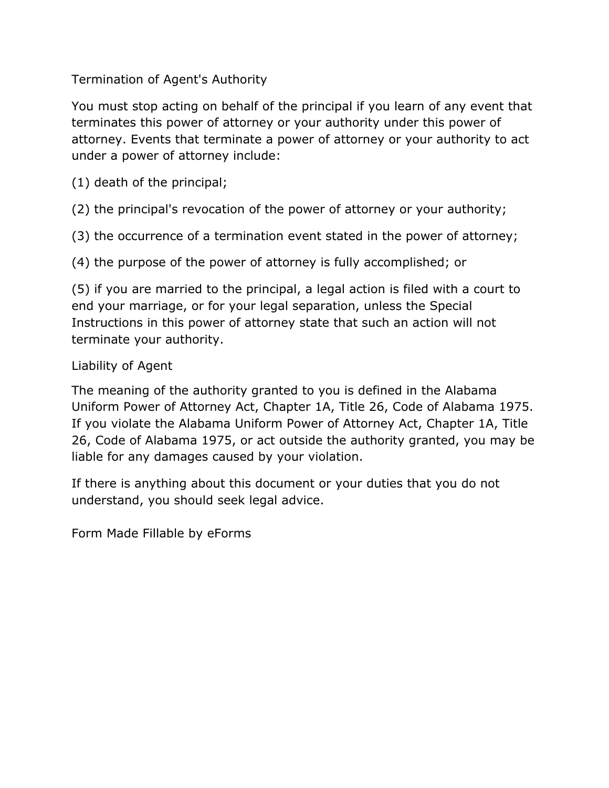Termination of Agent's Authority

You must stop acting on behalf of the principal if you learn of any event that terminates this power of attorney or your authority under this power of attorney. Events that terminate a power of attorney or your authority to act under a power of attorney include:

(1) death of the principal;

(2) the principal's revocation of the power of attorney or your authority;

(3) the occurrence of a termination event stated in the power of attorney;

(4) the purpose of the power of attorney is fully accomplished; or

(5) if you are married to the principal, a legal action is filed with a court to end your marriage, or for your legal separation, unless the Special Instructions in this power of attorney state that such an action will not terminate your authority.

### Liability of Agent

The meaning of the authority granted to you is defined in the Alabama Uniform Power of Attorney Act, Chapter 1A, Title 26, Code of Alabama 1975. If you violate the Alabama Uniform Power of Attorney Act, Chapter 1A, Title 26, Code of Alabama 1975, or act outside the authority granted, you may be liable for any damages caused by your violation.

If there is anything about this document or your duties that you do not understand, you should seek legal advice.

Form Made Fillable by [eForms](https://eforms.com)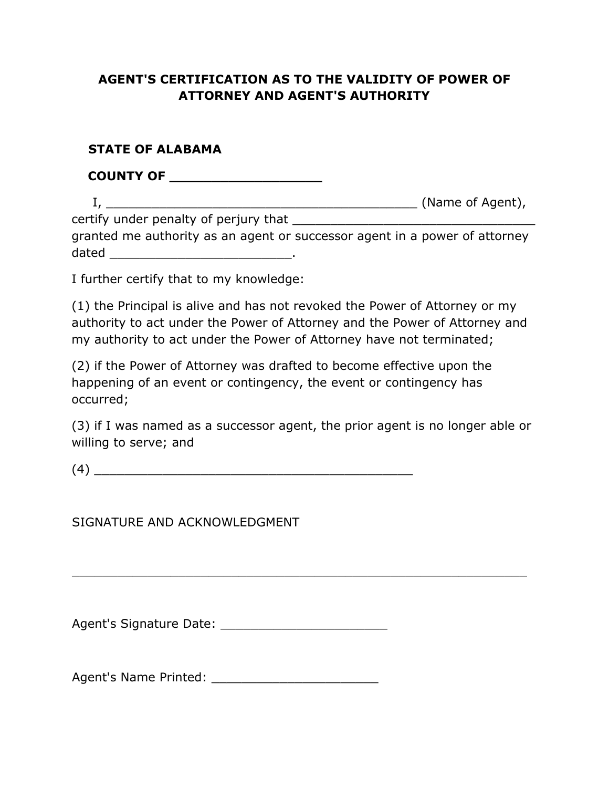#### **AGENT'S CERTIFICATION AS TO THE VALIDITY OF POWER OF ATTORNEY AND AGENT'S AUTHORITY**

#### **STATE OF ALABAMA**

 **COUNTY OF \_\_\_\_\_\_\_\_\_\_\_\_\_\_\_\_\_\_** I, \_\_\_\_\_\_\_\_\_\_\_\_\_\_\_\_\_\_\_\_\_\_\_\_\_\_\_\_\_\_\_\_\_\_\_\_\_\_\_\_\_ (Name of Agent),

certify under penalty of perjury that granted me authority as an agent or successor agent in a power of attorney dated \_\_\_\_\_\_\_\_\_\_\_\_\_\_\_\_\_\_\_\_\_\_\_\_.

I further certify that to my knowledge:

(1) the Principal is alive and has not revoked the Power of Attorney or my authority to act under the Power of Attorney and the Power of Attorney and my authority to act under the Power of Attorney have not terminated;

(2) if the Power of Attorney was drafted to become effective upon the happening of an event or contingency, the event or contingency has occurred;

(3) if I was named as a successor agent, the prior agent is no longer able or willing to serve; and

 $\overline{\phantom{a}}$  , and the contract of the contract of the contract of the contract of the contract of the contract of the contract of the contract of the contract of the contract of the contract of the contract of the contrac

 $(4)$ 

SIGNATURE AND ACKNOWLEDGMENT

Agent's Signature Date: **Example 2018** 

Agent's Name Printed: \_\_\_\_\_\_\_\_\_\_\_\_\_\_\_\_\_\_\_\_\_\_